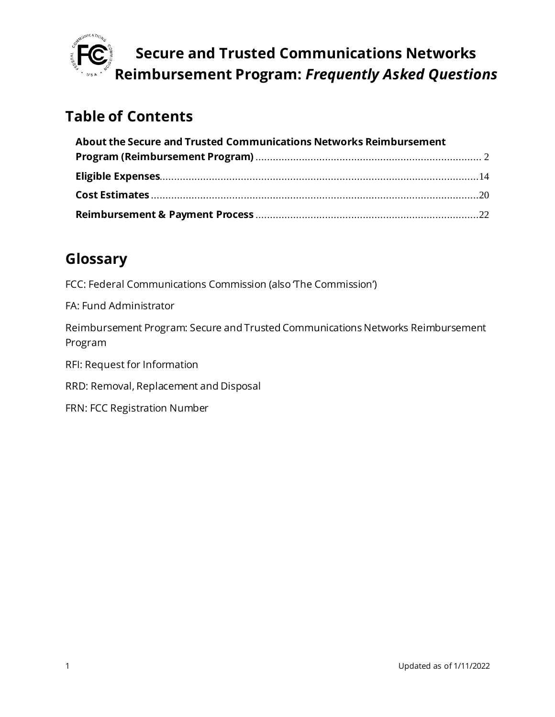

## **Table of Contents**

| About the Secure and Trusted Communications Networks Reimbursement |  |
|--------------------------------------------------------------------|--|
|                                                                    |  |
|                                                                    |  |
|                                                                    |  |
|                                                                    |  |

## **Glossary**

FCC: Federal Communications Commission (also The Commission')

FA: Fund Administrator

Reimbursement Program: Secure and Trusted Communications Networks Reimbursement Program

RFI: Request for Information

RRD: Removal, Replacement and Disposal

FRN: FCC Registration Number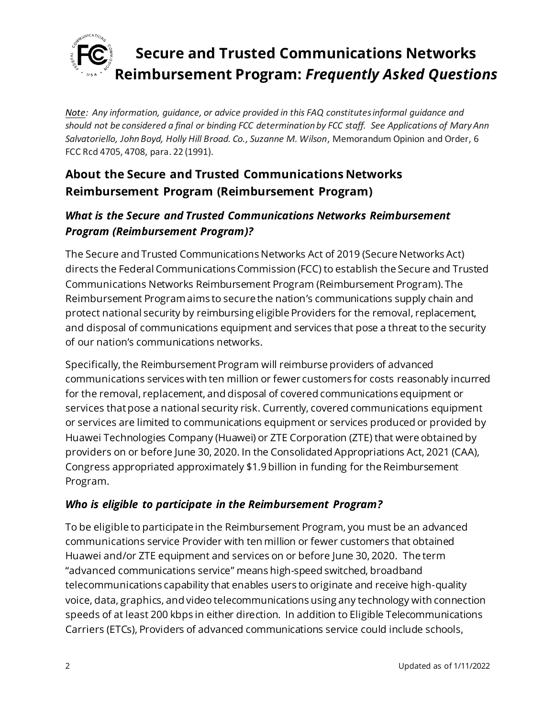

*Note: Any information, guidance, or advice provided in this FAQ constitutes informal guidance and should not be considered a final or binding FCC determination by FCC staff. See Applications of Mary Ann Salvatoriello, John Boyd, Holly Hill Broad. Co., Suzanne M. Wilson*, Memorandum Opinion and Order, 6 FCC Rcd 4705, 4708, para. 22 (1991).

## <span id="page-1-0"></span>**About the Secure and Trusted Communications Networks Reimbursement Program (Reimbursement Program)**

### *What is the Secure and Trusted Communications Networks Reimbursement Program (Reimbursement Program)?*

The Secure and Trusted Communications Networks Act of 2019 (Secure Networks Act) directs the Federal Communications Commission (FCC) to establish the Secure and Trusted Communications Networks Reimbursement Program (Reimbursement Program). The Reimbursement Program aims to secure the nation's communications supply chain and protect national security by reimbursing eligible Providers for the removal, replacement, and disposal of communications equipment and services that pose a threat to the security of our nation's communications networks.

Specifically, the Reimbursement Program will reimburse providers of advanced communications services with ten million or fewer customers for costs reasonably incurred for the removal, replacement, and disposal of covered communications equipment or services that pose a national security risk. Currently, covered communications equipment or services are limited to communications equipment or services produced or provided by Huawei Technologies Company (Huawei) or ZTE Corporation (ZTE) that were obtained by providers on or before June 30, 2020. In the Consolidated Appropriations Act, 2021 (CAA), Congress appropriated approximately \$1.9 billion in funding for the Reimbursement Program.

#### *Who is eligible to participate in the Reimbursement Program?*

To be eligible to participate in the Reimbursement Program, you must be an advanced communications service Provider with ten million or fewer customers that obtained Huawei and/or ZTE equipment and services on or before June 30, 2020. The term "advanced communications service" means high-speed switched, broadband telecommunications capability that enables users to originate and receive high-quality voice, data, graphics, and video telecommunications using any technology with connection speeds of at least 200 kbps in either direction. In addition to Eligible Telecommunications Carriers (ETCs), Providers of advanced communications service could include schools,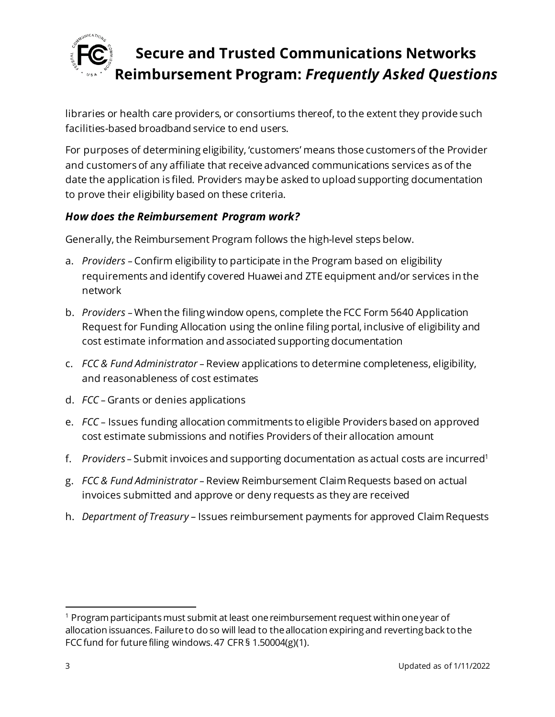

libraries or health care providers, or consortiums thereof, to the extent they provide such facilities-based broadband service to end users.

For purposes of determining eligibility, 'customers' means those customers of the Provider and customers of any affiliate that receive advanced communications services as of the date the application is filed. Providers may be asked to upload supporting documentation to prove their eligibility based on these criteria.

#### *How does the Reimbursement Program work?*

Generally, the Reimbursement Program follows the high-level steps below.

- a. *Providers* Confirm eligibility to participate in the Program based on eligibility requirements and identify covered Huawei and ZTE equipment and/or services in the network
- b. *Providers*  When the filing window opens, complete the FCC Form 5640 Application Request for Funding Allocation using the online filing portal, inclusive of eligibility and cost estimate information and associated supporting documentation
- c. *FCC & Fund Administrator* Review applications to determine completeness, eligibility, and reasonableness of cost estimates
- d. *FCC* Grants or denies applications
- e. *FCC* Issues funding allocation commitments to eligible Providers based on approved cost estimate submissions and notifies Providers of their allocation amount
- f. *Providers* Submit invoices and supporting documentation as actual costs are incurred<sup>1</sup>
- g. *FCC & Fund Administrator* Review Reimbursement ClaimRequests based on actual invoices submitted and approve or deny requests as they are received
- h. *Department of Treasury* Issues reimbursement payments for approved ClaimRequests

 $1$  Program participants must submit at least one reimbursement request within one year of allocation issuances. Failure to do so will lead to the allocation expiring and reverting back to the FCC fund for future filing windows. 47 CFR § 1.50004(g)(1).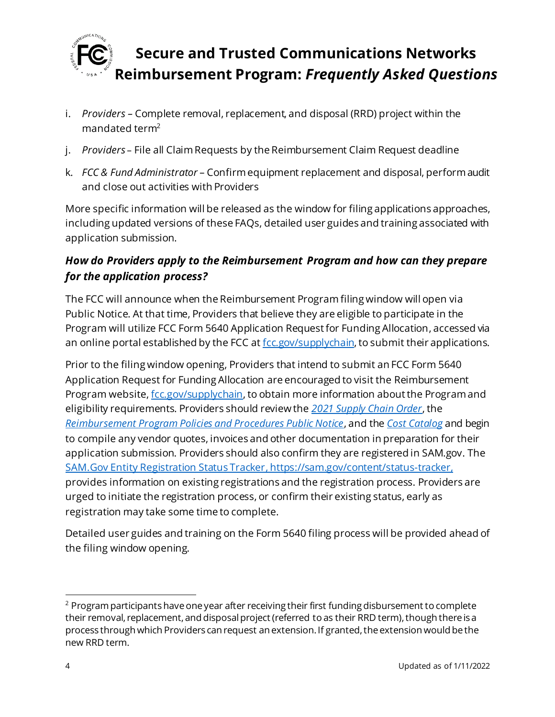

- i. *Providers –* Complete removal, replacement, and disposal (RRD) project within the mandated term<sup>2</sup>
- j. *Providers* File all Claim Requests by the Reimbursement Claim Request deadline
- k. *FCC & Fund Administrator* Confirm equipment replacement and disposal, perform audit and close out activities with Providers

More specific information will be released as the window for filing applications approaches, including updated versions of these FAQs, detailed user guides and training associated with application submission.

### *How do Providers apply to the Reimbursement Program and how can they prepare for the application process?*

The FCC will announce when the Reimbursement Program filing window will open via Public Notice. At that time, Providers that believe they are eligible to participate in the Program will utilize FCC Form 5640 Application Request for Funding Allocation, accessed via an online portal established by the FCC a[t fcc.gov/supplychain,](https://www.fcc.gov/supplychain) to submit their applications.

Prior to the filing window opening, Providers that intend to submit an FCC Form 5640 Application Request for Funding Allocation are encouraged to visit the Reimbursement Program website[, fcc.gov/supplychain](https://www.fcc.gov/supplychain), to obtain more information about the Program and eligibility requirements. Providers should review the *[2021 Supply Chain Order](https://www.fcc.gov/document/fcc-acts-protect-national-security-communications-supply-chain-0)*, the *[Reimbursement Program Policies and Procedures Public Notice](https://www.fcc.gov/document/fcc-announces-final-supply-chain-reimbursement-program-procedures)*, and the *[Cost Catalog](https://docs.fcc.gov/public/attachments/DA-21-947A4.pdf)* and begin to compile any vendor quotes, invoices and other documentation in preparation for their application submission. Providers should also confirm they are registered in SAM.gov. The [SAM.Gov Entity Registration Status Tracker](https://sam.gov/content/status-tracker), https://sam.gov/content/status-tracker, provides information on existing registrations and the registration process. Providers are urged to initiate the registration process, or confirm their existing status, early as registration may take some time to complete.

Detailed user guides and training on the Form 5640 filing process will be provided ahead of the filing window opening.

 $2$  Program participants have one year after receiving their first funding disbursement to complete their removal, replacement, and disposal project (referred to as their RRD term), though there is a process through which Providers can request an extension. If granted, the extension would be the new RRD term.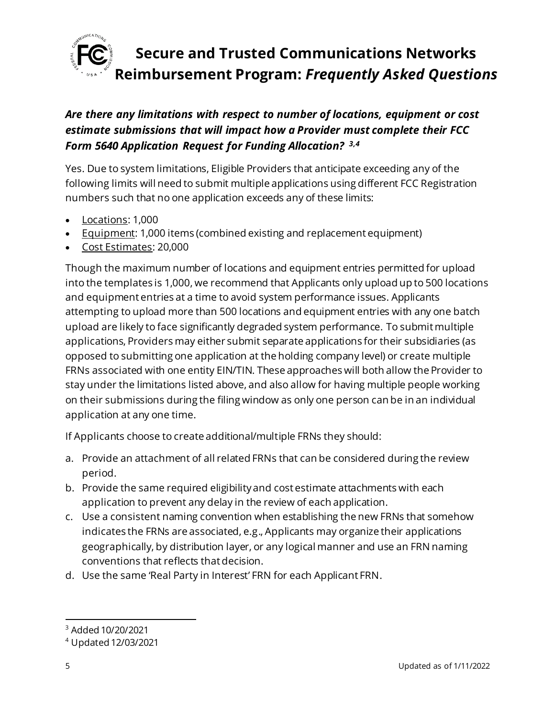

### *Are there any limitations with respect to number of locations, equipment or cost estimate submissions that will impact how a Provider must complete their FCC Form 5640 Application Request for Funding Allocation? 3,4*

Yes. Due to system limitations, Eligible Providers that anticipate exceeding any of the following limits will need to submit multiple applications using different FCC Registration numbers such that no one application exceeds any of these limits:

- Locations: 1,000
- Equipment: 1,000 items (combined existing and replacement equipment)
- Cost Estimates: 20,000

Though the maximum number of locations and equipment entries permitted for upload into the templates is 1,000, we recommend that Applicants only upload up to 500 locations and equipment entries at a time to avoid system performance issues. Applicants attempting to upload more than 500 locations and equipment entries with any one batch upload are likely to face significantly degraded system performance. To submit multiple applications, Providers may either submit separate applications for their subsidiaries (as opposed to submitting one application at the holding company level) or create multiple FRNs associated with one entity EIN/TIN. These approaches will both allow the Provider to stay under the limitations listed above, and also allow for having multiple people working on their submissions during the filing window as only one person can be in an individual application at any one time.

If Applicants choose to create additional/multiple FRNs they should:

- a. Provide an attachment of all related FRNs that can be considered during the review period.
- b. Provide the same required eligibility and cost estimate attachments with each application to prevent any delay in the review of each application.
- c. Use a consistent naming convention when establishing the new FRNs that somehow indicates the FRNs are associated, e.g., Applicants may organize their applications geographically, by distribution layer, or any logical manner and use an FRN naming conventions that reflects that decision.
- d. Use the same 'Real Party in Interest' FRN for each Applicant FRN.

<sup>3</sup> Added 10/20/2021

<sup>4</sup> Updated 12/03/2021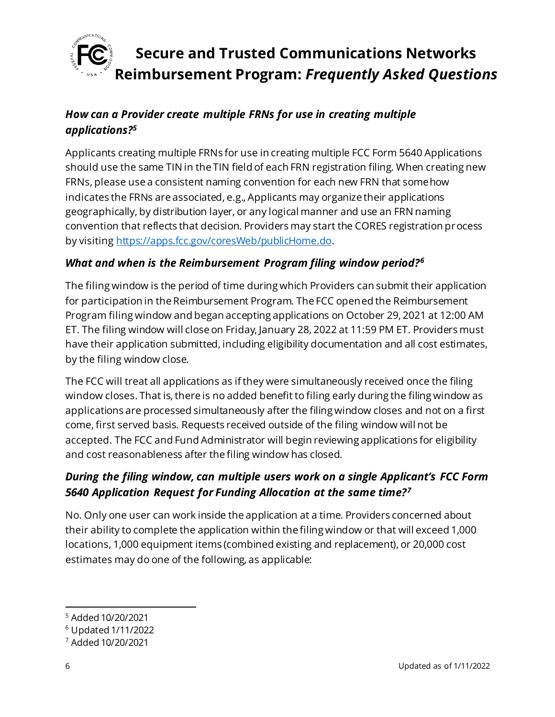

### *How can a Provider create multiple FRNs for use in creating multiple applications?<sup>5</sup>*

Applicants creating multiple FRNs for use in creating multiple FCC Form 5640 Applications should use the same TIN in the TIN field of each FRN registration filing. When creating new FRNs, please use a consistent naming convention for each new FRN that somehow indicates the FRNs are associated, e.g., Applicants may organize their applications geographically, by distribution layer, or any logical manner and use an FRN naming convention that reflects that decision. Providers may start the CORES registration process by visitin[g https://apps.fcc.gov/coresWeb/publicHome.do](https://apps.fcc.gov/coresWeb/publicHome.do).

#### *What and when is the Reimbursement Program filing window period?<sup>6</sup>*

The filing window is the period of time during which Providers can submit their application for participation in the Reimbursement Program. The FCC opened the Reimbursement Program filing window and began accepting applications on October 29, 2021 at 12:00 AM ET. The filing window will close on Friday, January 28, 2022 at 11:59 PM ET. Providers must have their application submitted, including eligibility documentation and all cost estimates, by the filing window close.

The FCC will treat all applications as if they were simultaneously received once the filing window closes. That is, there is no added benefit to filing early during the filing window as applications are processed simultaneously after the filing window closes and not on a first come, first served basis. Requests received outside of the filing window will not be accepted. The FCC and Fund Administrator will begin reviewing applications for eligibility and cost reasonableness after the filing window has closed.

#### *During the filing window, can multiple users work on a single Applicant's FCC Form 5640 Application Request for Funding Allocation at the same time?<sup>7</sup>*

No. Only one user can work inside the application at a time. Providers concerned about their ability to complete the application within the filing window or that will exceed 1,000 locations, 1,000 equipment items (combined existing and replacement), or 20,000 cost estimates may do one of the following, as applicable:

<sup>5</sup> Added 10/20/2021

<sup>6</sup> Updated 1/11/2022

<sup>7</sup> Added 10/20/2021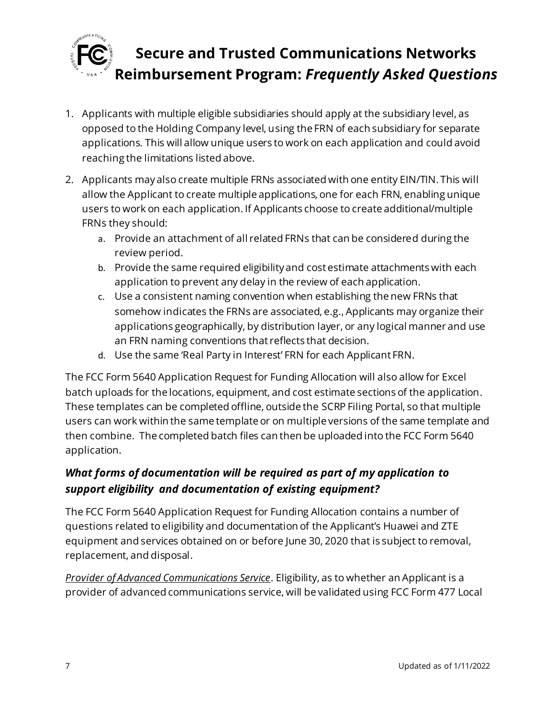

- 1. Applicants with multiple eligible subsidiaries should apply at the subsidiary level, as opposed to the Holding Company level, using the FRN of each subsidiary for separate applications. This will allow unique users to work on each application and could avoid reaching the limitations listed above.
- 2. Applicants may also create multiple FRNs associated with one entity EIN/TIN. This will allow the Applicant to create multiple applications, one for each FRN, enabling unique users to work on each application. If Applicants choose to create additional/multiple FRNs they should:
	- a. Provide an attachment of all related FRNs that can be considered during the review period.
	- b. Provide the same required eligibility and cost estimate attachments with each application to prevent any delay in the review of each application.
	- c. Use a consistent naming convention when establishing the new FRNs that somehow indicates the FRNs are associated, e.g., Applicants may organize their applications geographically, by distribution layer, or any logical manner and use an FRN naming conventions that reflects that decision.
	- d. Use the same 'Real Party in Interest' FRN for each Applicant FRN.

The FCC Form 5640 Application Request for Funding Allocation will also allow for Excel batch uploads for the locations, equipment, and cost estimate sections of the application. These templates can be completed offline, outside the SCRP Filing Portal, so that multiple users can work within the same template or on multiple versions of the same template and then combine. The completed batch files can then be uploaded into the FCC Form 5640 application.

### *What forms of documentation will be required as part of my application to support eligibility and documentation of existing equipment?*

The FCC Form 5640 Application Request for Funding Allocation contains a number of questions related to eligibility and documentation of the Applicant's Huawei and ZTE equipment and services obtained on or before June 30, 2020 that is subject to removal, replacement, and disposal.

*Provider of Advanced Communications Service*. Eligibility, as to whether an Applicant is a provider of advanced communications service, will be validated using FCC Form 477 Local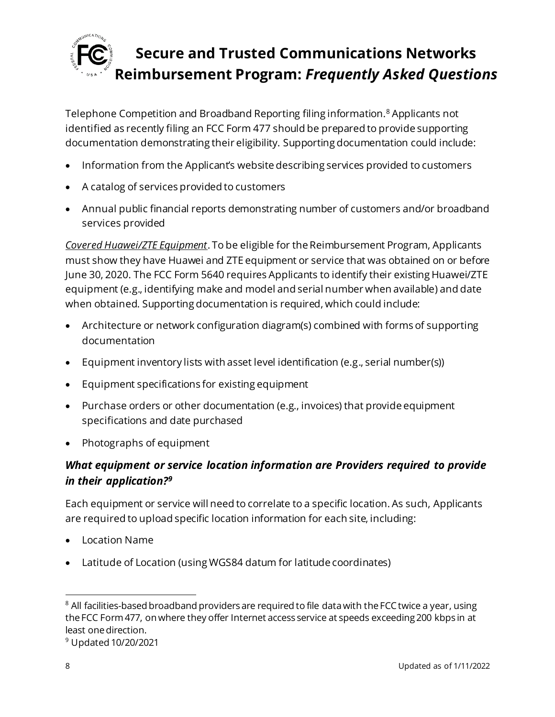

Telephone Competition and Broadband Reporting filing information.<sup>8</sup> Applicants not identified as recently filing an FCC Form 477 should be prepared to provide supporting documentation demonstrating their eligibility. Supporting documentation could include:

- Information from the Applicant's website describing services provided to customers
- A catalog of services provided to customers
- Annual public financial reports demonstrating number of customers and/or broadband services provided

*Covered Huawei/ZTE Equipment*. To be eligible for the Reimbursement Program, Applicants must show they have Huawei and ZTE equipment or service that was obtained on or before June 30, 2020. The FCC Form 5640 requires Applicants to identify their existing Huawei/ZTE equipment (e.g., identifying make and model and serial number when available) and date when obtained. Supporting documentation is required, which could include:

- Architecture or network configuration diagram(s) combined with forms of supporting documentation
- Equipment inventory lists with asset level identification (e.g., serial number(s))
- Equipment specifications for existing equipment
- Purchase orders or other documentation (e.g., invoices) that provide equipment specifications and date purchased
- Photographs of equipment

### *What equipment or service location information are Providers required to provide in their application?<sup>9</sup>*

Each equipment or service will need to correlate to a specific location. As such, Applicants are required to upload specific location information for each site, including:

- Location Name
- Latitude of Location (using WGS84 datum for latitude coordinates)

<sup>&</sup>lt;sup>8</sup> All facilities-based broadband providers are required to file data with the FCC twice a year, using the FCC Form 477, on where they offer Internet access service at speeds exceeding 200 kbps in at least one direction.

<sup>9</sup> Updated 10/20/2021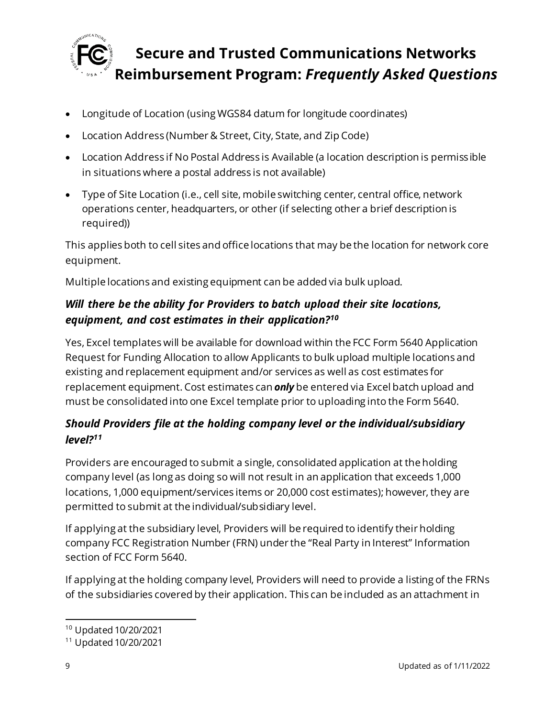

- Longitude of Location (using WGS84 datum for longitude coordinates)
- Location Address (Number & Street, City, State, and Zip Code)
- Location Address if No Postal Address is Available (a location description is permiss ible in situations where a postal address is not available)
- Type of Site Location (i.e., cell site, mobile switching center, central office, network operations center, headquarters, or other (if selecting other a brief description is required))

This applies both to cell sites and office locations that may be the location for network core equipment.

Multiple locations and existing equipment can be added via bulk upload.

### *Will there be the ability for Providers to batch upload their site locations, equipment, and cost estimates in their application?<sup>10</sup>*

Yes, Excel templates will be available for download within the FCC Form 5640 Application Request for Funding Allocation to allow Applicants to bulk upload multiple locations and existing and replacement equipment and/or services as well as cost estimates for replacement equipment. Cost estimates can *only* be entered via Excel batch upload and must be consolidated into one Excel template prior to uploading into the Form 5640.

### *Should Providers file at the holding company level or the individual/subsidiary level?<sup>11</sup>*

Providers are encouraged to submit a single, consolidated application at the holding company level (as long as doing so will not result in an application that exceeds 1,000 locations, 1,000 equipment/services items or 20,000 cost estimates); however, they are permitted to submit at the individual/subsidiary level.

If applying at the subsidiary level, Providers will be required to identify their holding company FCC Registration Number (FRN) under the "Real Party in Interest" Information section of FCC Form 5640.

If applying at the holding company level, Providers will need to provide a listing of the FRNs of the subsidiaries covered by their application. This can be included as an attachment in

<sup>10</sup> Updated 10/20/2021

<sup>11</sup> Updated 10/20/2021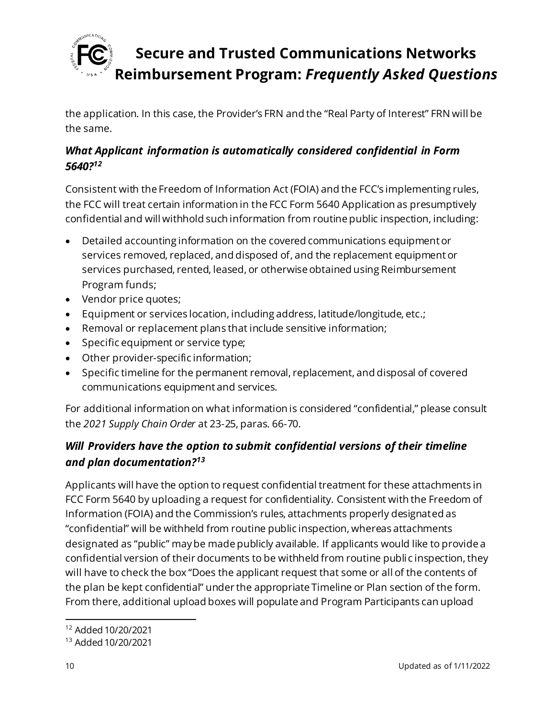

the application. In this case, the Provider's FRN and the "Real Party of Interest" FRN will be the same.

### *What Applicant information is automatically considered confidential in Form 5640?<sup>12</sup>*

Consistent with the Freedom of Information Act (FOIA) and the FCC's implementing rules, the FCC will treat certain information in the FCC Form 5640 Application as presumptively confidential and will withhold such information from routine public inspection, including:

- Detailed accounting information on the covered communications equipment or services removed, replaced, and disposed of, and the replacement equipment or services purchased, rented, leased, or otherwise obtained using Reimbursement Program funds;
- Vendor price quotes;
- Equipment or services location, including address, latitude/longitude, etc.;
- Removal or replacement plans that include sensitive information;
- Specific equipment or service type;
- Other provider-specific information;
- Specific timeline for the permanent removal, replacement, and disposal of covered communications equipment and services.

For additional information on what information is considered "confidential," please consult the *2021 Supply Chain Order* at 23-25, paras. 66-70.

### *Will Providers have the option to submit confidential versions of their timeline and plan documentation?<sup>13</sup>*

Applicants will have the option to request confidential treatment for these attachments in FCC Form 5640 by uploading a request for confidentiality. Consistent with the Freedom of Information (FOIA) and the Commission's rules, attachments properly designated as "confidential" will be withheld from routine public inspection, whereas attachments designated as "public" may be made publicly available. If applicants would like to provide a confidential version of their documents to be withheld from routine publi c inspection, they will have to check the box "Does the applicant request that some or all of the contents of the plan be kept confidential" under the appropriate Timeline or Plan section of the form. From there, additional upload boxes will populate and Program Participants can upload

<sup>12</sup> Added 10/20/2021

<sup>13</sup> Added 10/20/2021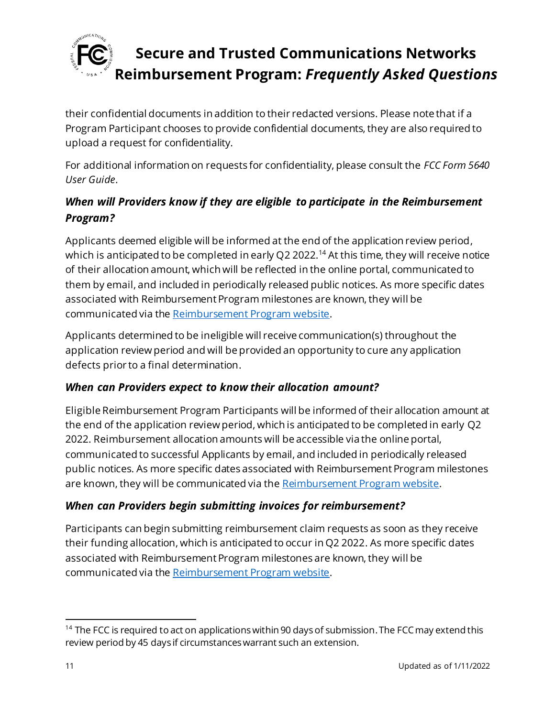

their confidential documents in addition to their redacted versions. Please note that if a Program Participant chooses to provide confidential documents, they are also required to upload a request for confidentiality.

For additional information on requests for confidentiality, please consult the *FCC Form 5640 User Guide*.

### *When will Providers know if they are eligible to participate in the Reimbursement Program?*

Applicants deemed eligible will be informed at the end of the application review period, which is anticipated to be completed in early Q2 2022.<sup>14</sup> At this time, they will receive notice of their allocation amount, which will be reflected in the online portal, communicated to them by email, and included in periodically released public notices. As more specific dates associated with Reimbursement Program milestones are known, they will be communicated via th[e Reimbursement Program website](https://www.fcc.gov/supplychain).

Applicants determined to be ineligible will receive communication(s) throughout the application review period and will be provided an opportunity to cure any application defects prior to a final determination.

#### *When can Providers expect to know their allocation amount?*

Eligible Reimbursement Program Participants will be informed of their allocation amount at the end of the application review period, which is anticipated to be completed in early Q2 2022. Reimbursement allocation amounts will be accessible via the online portal, communicated to successful Applicants by email, and included in periodically released public notices. As more specific dates associated with Reimbursement Program milestones are known, they will be communicated via th[e Reimbursement Program website](https://www.fcc.gov/supplychain).

#### *When can Providers begin submitting invoices for reimbursement?*

Participants can begin submitting reimbursement claim requests as soon as they receive their funding allocation, which is anticipated to occur in Q2 2022. As more specific dates associated with Reimbursement Program milestones are known, they will be communicated via th[e Reimbursement Program website](https://www.fcc.gov/supplychain).

<sup>&</sup>lt;sup>14</sup> The FCC is required to act on applications within 90 days of submission. The FCC may extend this review period by 45 days if circumstances warrant such an extension.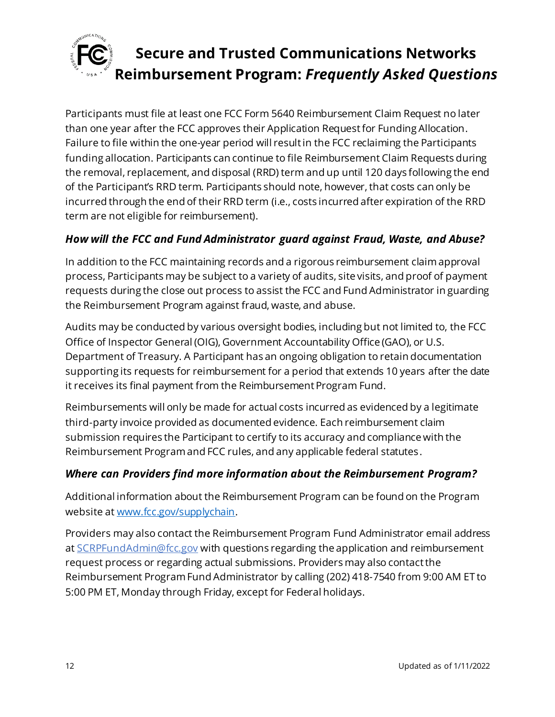

Participants must file at least one FCC Form 5640 Reimbursement Claim Request no later than one year after the FCC approves their Application Request for Funding Allocation. Failure to file within the one-year period will result in the FCC reclaiming the Participants funding allocation. Participants can continue to file Reimbursement Claim Requests during the removal, replacement, and disposal (RRD) term and up until 120 days following the end of the Participant's RRD term. Participants should note, however, that costs can only be incurred through the end of their RRD term (i.e., costs incurred after expiration of the RRD term are not eligible for reimbursement).

#### *How will the FCC and Fund Administrator guard against Fraud, Waste, and Abuse?*

In addition to the FCC maintaining records and a rigorous reimbursement claim approval process, Participants may be subject to a variety of audits, site visits, and proof of payment requests during the close out process to assist the FCC and Fund Administrator in guarding the Reimbursement Program against fraud, waste, and abuse.

Audits may be conducted by various oversight bodies, including but not limited to, the FCC Office of Inspector General (OIG), Government Accountability Office (GAO), or U.S. Department of Treasury. A Participant has an ongoing obligation to retain documentation supporting its requests for reimbursement for a period that extends 10 years after the date it receives its final payment from the Reimbursement Program Fund.

Reimbursements will only be made for actual costs incurred as evidenced by a legitimate third-party invoice provided as documented evidence. Each reimbursement claim submission requires the Participant to certify to its accuracy and compliance with the Reimbursement Program and FCC rules, and any applicable federal statutes.

#### *Where can Providers find more information about the Reimbursement Program?*

Additional information about the Reimbursement Program can be found on the Program website a[t www.fcc.gov/supplychain](http://www.fcc.gov/supplychain).

Providers may also contact the Reimbursement Program Fund Administrator email address at [SCRPFundAdmin@fcc.gov](mailto:SCRPFundAdmin@fcc.gov) with questions regarding the application and reimbursement request process or regarding actual submissions. Providers may also contact the Reimbursement Program Fund Administrator by calling (202) 418-7540 from 9:00 AM ET to 5:00 PM ET, Monday through Friday, except for Federal holidays.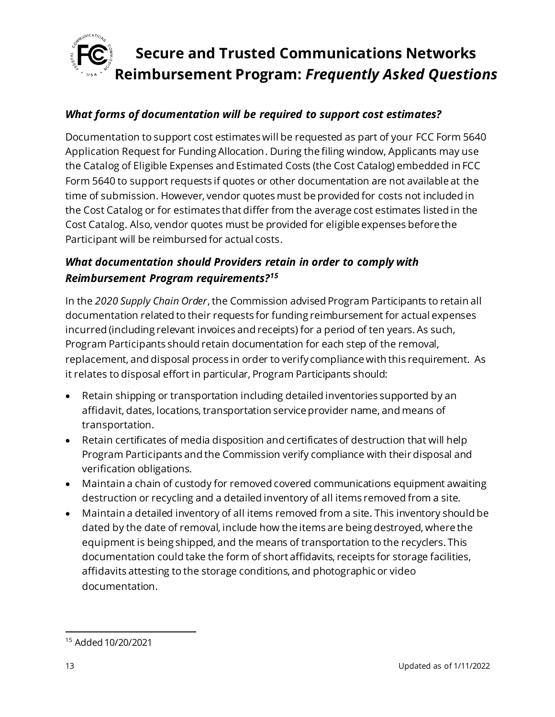

#### *What forms of documentation will be required to support cost estimates?*

Documentation to support cost estimates will be requested as part of your FCC Form 5640 Application Request for Funding Allocation. During the filing window, Applicants may use the Catalog of Eligible Expenses and Estimated Costs (the Cost Catalog) embedded in FCC Form 5640 to support requests if quotes or other documentation are not available at the time of submission. However, vendor quotes must be provided for costs not included in the Cost Catalog or for estimates that differ from the average cost estimates listed in the Cost Catalog. Also, vendor quotes must be provided for eligible expenses before the Participant will be reimbursed for actual costs.

#### *What documentation should Providers retain in order to comply with Reimbursement Program requirements?<sup>15</sup>*

In the *2020 Supply Chain Order*, the Commission advised Program Participants to retain all documentation related to their requests for funding reimbursement for actual expenses incurred (including relevant invoices and receipts) for a period of ten years. As such, Program Participants should retain documentation for each step of the removal, replacement, and disposal process in order to verify compliance with this requirement. As it relates to disposal effort in particular, Program Participants should:

- Retain shipping or transportation including detailed inventories supported by an affidavit, dates, locations, transportation service provider name, and means of transportation.
- Retain certificates of media disposition and certificates of destruction that will help Program Participants and the Commission verify compliance with their disposal and verification obligations.
- Maintain a chain of custody for removed covered communications equipment awaiting destruction or recycling and a detailed inventory of all items removed from a site.
- Maintain a detailed inventory of all items removed from a site. This inventory should be dated by the date of removal, include how the items are being destroyed, where the equipment is being shipped, and the means of transportation to the recyclers. This documentation could take the form of short affidavits, receipts for storage facilities, affidavits attesting to the storage conditions, and photographic or video documentation.

<sup>15</sup> Added 10/20/2021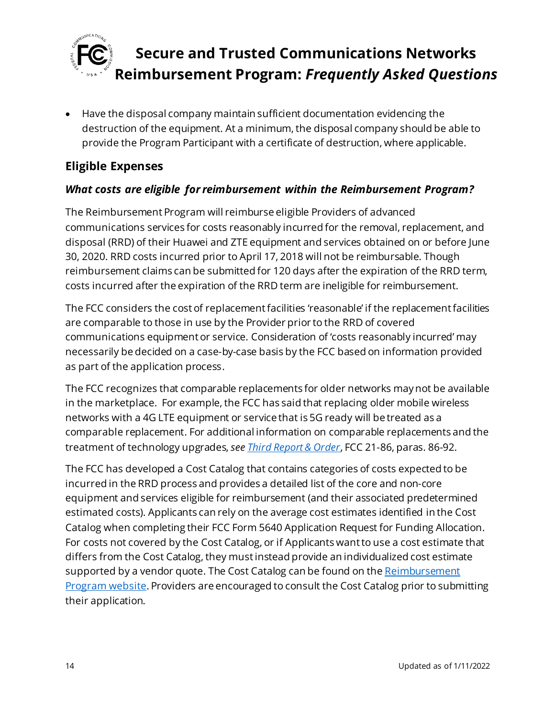

• Have the disposal company maintain sufficient documentation evidencing the destruction of the equipment. At a minimum, the disposal company should be able to provide the Program Participant with a certificate of destruction, where applicable.

### <span id="page-13-0"></span>**Eligible Expenses**

#### *What costs are eligible for reimbursement within the Reimbursement Program?*

The Reimbursement Program will reimburse eligible Providers of advanced communications services for costs reasonably incurred for the removal, replacement, and disposal (RRD) of their Huawei and ZTE equipment and services obtained on or before June 30, 2020. RRD costs incurred prior to April 17, 2018 will not be reimbursable. Though reimbursement claims can be submitted for 120 days after the expiration of the RRD term, costs incurred after the expiration of the RRD term are ineligible for reimbursement.

The FCC considers the cost of replacement facilities 'reasonable' if the replacement facilities are comparable to those in use by the Provider prior to the RRD of covered communications equipment or service. Consideration of 'costs reasonably incurred' may necessarily be decided on a case-by-case basis by the FCC based on information provided as part of the application process.

The FCC recognizes that comparable replacements for older networks may not be available in the marketplace. For example, the FCC has said that replacing older mobile wireless networks with a 4G LTE equipment or service that is 5G ready will be treated as a comparable replacement. For additional information on comparable replacements and the treatment of technology upgrades, *se[e Third Report & Order](https://www.fcc.gov/document/fcc-acts-protect-national-security-communications-supply-chain-0)*, FCC 21-86, paras. 86-92.

The FCC has developed a Cost Catalog that contains categories of costs expected to be incurred in the RRD process and provides a detailed list of the core and non-core equipment and services eligible for reimbursement (and their associated predetermined estimated costs). Applicants can rely on the average cost estimates identified in the Cost Catalog when completing their FCC Form 5640 Application Request for Funding Allocation. For costs not covered by the Cost Catalog, or if Applicants want to use a cost estimate that differs from the Cost Catalog, they mustinstead provide an individualized cost estimate supported by a vendor quote. The Cost Catalog can be found on the Reimbursement [Program website](https://www.fcc.gov/supplychain). Providers are encouraged to consult the Cost Catalog prior to submitting their application.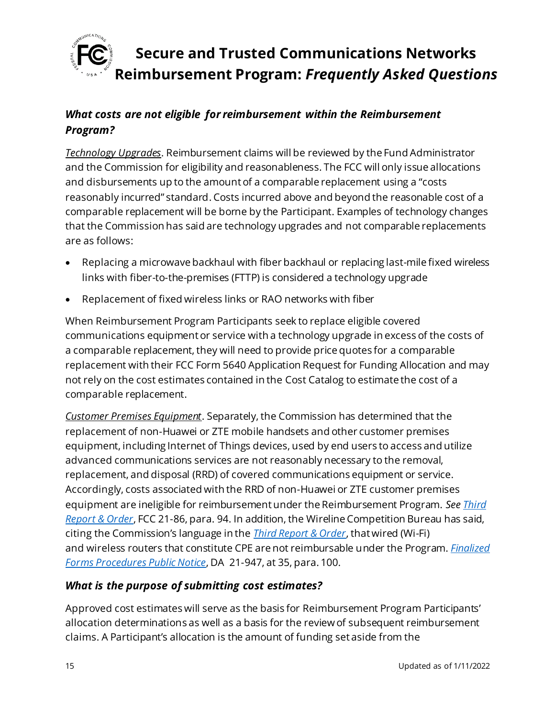

### *What costs are not eligible for reimbursement within the Reimbursement Program?*

*Technology Upgrades*. Reimbursement claims will be reviewed by the Fund Administrator and the Commission for eligibility and reasonableness. The FCC will only issue allocations and disbursements up to the amount of a comparable replacement using a "costs reasonably incurred" standard. Costs incurred above and beyond the reasonable cost of a comparable replacement will be borne by the Participant. Examples of technology changes that the Commission has said are technology upgrades and not comparable replacements are as follows:

- Replacing a microwave backhaul with fiber backhaul or replacing last-mile fixed wireless links with fiber-to-the-premises (FTTP) is considered a technology upgrade
- Replacement of fixed wireless links or RAO networks with fiber

When Reimbursement Program Participants seek to replace eligible covered communications equipment or service with a technology upgrade in excess of the costs of a comparable replacement, they will need to provide price quotes for a comparable replacement with their FCC Form 5640 Application Request for Funding Allocation and may not rely on the cost estimates contained in the Cost Catalog to estimate the cost of a comparable replacement.

*Customer Premises Equipment*. Separately, the Commission has determined that the replacement of non-Huawei or ZTE mobile handsets and other customer premises equipment, including Internet of Things devices, used by end users to access and utilize advanced communications services are not reasonably necessary to the removal, replacement, and disposal (RRD) of covered communications equipment or service. Accordingly, costs associated with the RRD of non-Huawei or ZTE customer premises equipment are ineligible for reimbursement under the Reimbursement Program. *Se[e Third](https://www.fcc.gov/document/fcc-acts-protect-national-security-communications-supply-chain-0)  [Report & Order](https://www.fcc.gov/document/fcc-acts-protect-national-security-communications-supply-chain-0)*, FCC 21-86, para. 94. In addition, the Wireline Competition Bureau has said, citing the Commission's language in the *[Third Report & Order](https://www.fcc.gov/document/fcc-acts-protect-national-security-communications-supply-chain-0)*, that wired (Wi-Fi) and wireless routers that constitute CPE are not reimbursable under the Program. *[Finalized](https://www.fcc.gov/document/fcc-announces-final-supply-chain-reimbursement-program-procedures)  [Forms Procedures Public Notice](https://www.fcc.gov/document/fcc-announces-final-supply-chain-reimbursement-program-procedures)*, DA 21-947, at 35, para. 100.

#### *What is the purpose of submitting cost estimates?*

Approved cost estimates will serve as the basis for Reimbursement Program Participants' allocation determinations as well as a basis for the review of subsequent reimbursement claims. A Participant's allocation is the amount of funding set aside from the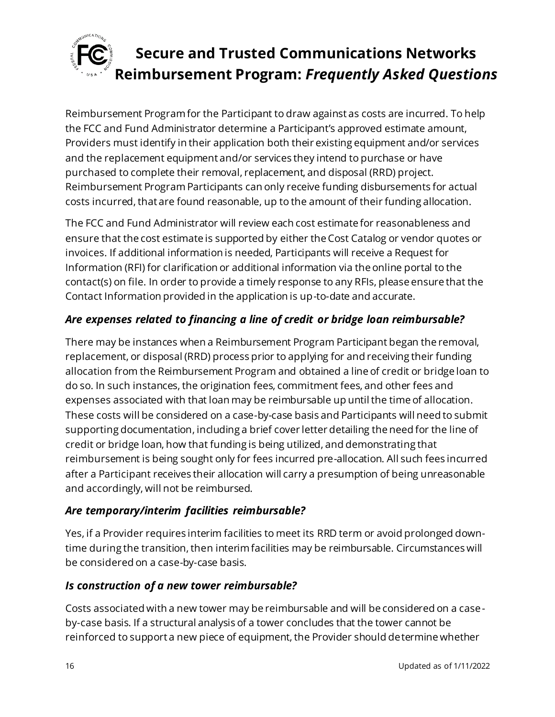

Reimbursement Program for the Participant to draw against as costs are incurred. To help the FCC and Fund Administrator determine a Participant's approved estimate amount, Providers must identify in their application both their existing equipment and/or services and the replacement equipment and/or services they intend to purchase or have purchased to complete their removal, replacement, and disposal (RRD) project. Reimbursement Program Participants can only receive funding disbursements for actual costs incurred, that are found reasonable, up to the amount of their funding allocation.

The FCC and Fund Administrator will review each cost estimate for reasonableness and ensure that the cost estimate is supported by either the Cost Catalog or vendor quotes or invoices. If additional information is needed, Participants will receive a Request for Information (RFI) for clarification or additional information via the online portal to the contact(s) on file. In order to provide a timely response to any RFIs, please ensure that the Contact Information provided in the application is up-to-date and accurate.

### *Are expenses related to financing a line of credit or bridge loan reimbursable?*

There may be instances when a Reimbursement Program Participant began the removal, replacement, or disposal (RRD) process prior to applying for and receiving their funding allocation from the Reimbursement Program and obtained a line of credit or bridge loan to do so. In such instances, the origination fees, commitment fees, and other fees and expenses associated with that loan may be reimbursable up until the time of allocation. These costs will be considered on a case-by-case basis and Participants will need to submit supporting documentation, including a brief cover letter detailing the need for the line of credit or bridge loan, how that funding is being utilized, and demonstrating that reimbursement is being sought only for fees incurred pre-allocation. All such fees incurred after a Participant receives their allocation will carry a presumption of being unreasonable and accordingly, will not be reimbursed.

#### *Are temporary/interim facilities reimbursable?*

Yes, if a Provider requires interim facilities to meet its RRD term or avoid prolonged downtime during the transition, then interim facilities may be reimbursable. Circumstances will be considered on a case-by-case basis.

#### *Is construction of a new tower reimbursable?*

Costs associated with a new tower may be reimbursable and will be considered on a caseby-case basis. If a structural analysis of a tower concludes that the tower cannot be reinforced to support a new piece of equipment, the Provider should determine whether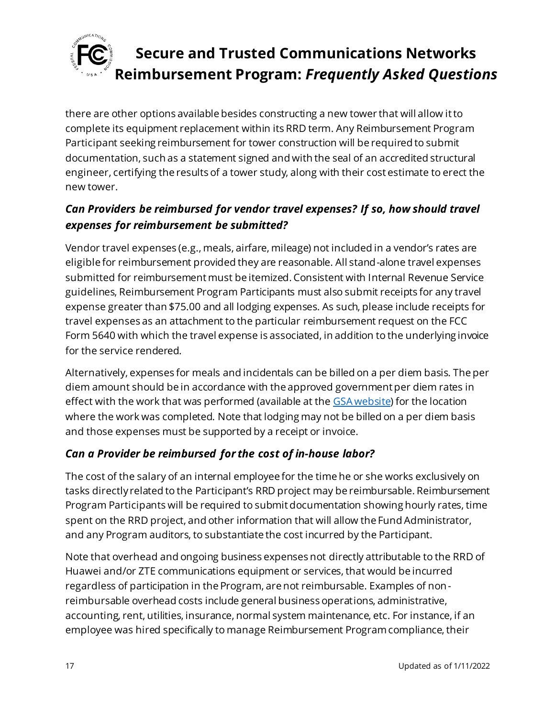

there are other options available besides constructing a new tower that will allow it to complete its equipment replacement within its RRD term. Any Reimbursement Program Participant seeking reimbursement for tower construction will be required to submit documentation, such as a statement signed and with the seal of an accredited structural engineer, certifying the results of a tower study, along with their cost estimate to erect the new tower.

### *Can Providers be reimbursed for vendor travel expenses? If so, how should travel expenses for reimbursement be submitted?*

Vendor travel expenses (e.g., meals, airfare, mileage) not included in a vendor's rates are eligible for reimbursement provided they are reasonable. All stand-alone travel expenses submitted for reimbursement must be itemized. Consistent with Internal Revenue Service guidelines, Reimbursement Program Participants must also submit receipts for any travel expense greater than \$75.00 and all lodging expenses. As such, please include receipts for travel expenses as an attachment to the particular reimbursement request on the FCC Form 5640 with which the travel expense is associated, in addition to the underlying invoice for the service rendered.

Alternatively, expenses for meals and incidentals can be billed on a per diem basis. The per diem amount should be in accordance with the approved government per diem rates in effect with the work that was performed (available at th[e GSA website\)](https://www.gsa.gov/travel/plan-book/per-diem-rates) for the location where the work was completed. Note that lodging may not be billed on a per diem basis and those expenses must be supported by a receipt or invoice.

#### *Can a Provider be reimbursed for the cost of in-house labor?*

The cost of the salary of an internal employee for the time he or she works exclusively on tasks directly related to the Participant's RRD project may be reimbursable. Reimbursement Program Participants will be required to submit documentation showing hourly rates, time spent on the RRD project, and other information that will allow the Fund Administrator, and any Program auditors, to substantiate the cost incurred by the Participant.

Note that overhead and ongoing business expenses not directly attributable to the RRD of Huawei and/or ZTE communications equipment or services, that would be incurred regardless of participation in the Program, are not reimbursable. Examples of nonreimbursable overhead costs include general business operations, administrative, accounting, rent, utilities, insurance, normal system maintenance, etc. For instance, if an employee was hired specifically to manage Reimbursement Program compliance, their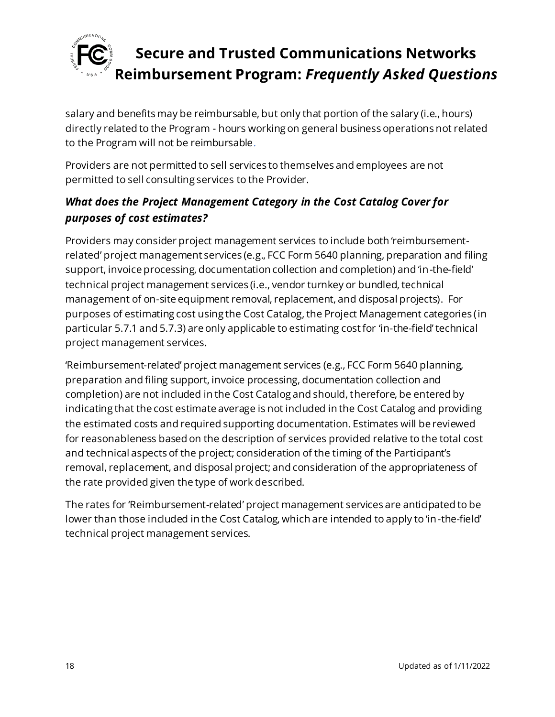

salary and benefits may be reimbursable, but only that portion of the salary (i.e., hours) directly related to the Program - hours working on general business operations not related to the Program will not be reimbursable.

Providers are not permitted to sell services to themselves and employees are not permitted to sell consulting services to the Provider.

### *What does the Project Management Category in the Cost Catalog Cover for purposes of cost estimates?*

Providers may consider project management services to include both 'reimbursementrelated' project management services (e.g., FCC Form 5640 planning, preparation and filing support, invoice processing, documentation collection and completion) and 'in-the-field' technical project management services (i.e., vendor turnkey or bundled, technical management of on-site equipment removal, replacement, and disposal projects). For purposes of estimating cost using the Cost Catalog, the Project Management categories (in particular 5.7.1 and 5.7.3) are only applicable to estimating cost for 'in-the-field' technical project management services.

'Reimbursement-related' project management services (e.g., FCC Form 5640 planning, preparation and filing support, invoice processing, documentation collection and completion) are not included in the Cost Catalog and should, therefore, be entered by indicating that the cost estimate average is not included in the Cost Catalog and providing the estimated costs and required supporting documentation. Estimates will be reviewed for reasonableness based on the description of services provided relative to the total cost and technical aspects of the project; consideration of the timing of the Participant's removal, replacement, and disposal project; and consideration of the appropriateness of the rate provided given the type of work described.

The rates for 'Reimbursement-related' project management services are anticipated to be lower than those included in the Cost Catalog, which are intended to apply to 'in-the-field' technical project management services.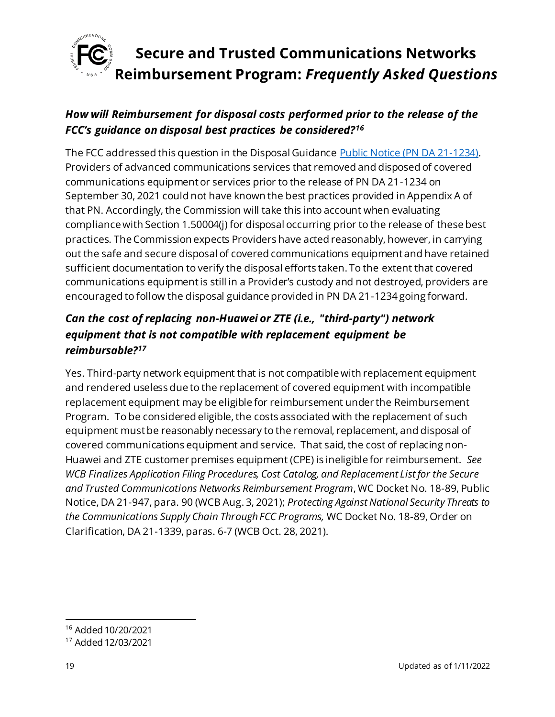

### *How will Reimbursement for disposal costs performed prior to the release of the FCC's guidance on disposal best practices be considered?<sup>16</sup>*

The FCC addressed this question in the Disposal Guidanc[e Public Notice \(PN DA 21-1234\)](https://docs.fcc.gov/public/attachments/DA-21-1234A1.pdf). Providers of advanced communications services that removed and disposed of covered communications equipment or services prior to the release of PN DA 21-1234 on September 30, 2021 could not have known the best practices provided in Appendix A of that PN. Accordingly, the Commission will take this into account when evaluating compliance with Section 1.50004(j) for disposal occurring prior to the release of these best practices. The Commission expects Providers have acted reasonably, however, in carrying out the safe and secure disposal of covered communications equipment and have retained sufficient documentation to verify the disposal efforts taken. To the extent that covered communications equipment is still in a Provider's custody and not destroyed, providers are encouraged to follow the disposal guidance provided in PN DA 21-1234 going forward.

### *Can the cost of replacing non-Huawei or ZTE (i.e., "third-party") network equipment that is not compatible with replacement equipment be reimbursable?<sup>17</sup>*

Yes. Third-party network equipment that is not compatible with replacement equipment and rendered useless due to the replacement of covered equipment with incompatible replacement equipment may be eligible for reimbursement under the Reimbursement Program. To be considered eligible, the costs associated with the replacement of such equipment must be reasonably necessary to the removal, replacement, and disposal of covered communications equipment and service. That said, the cost of replacing non-Huawei and ZTE customer premises equipment (CPE) is ineligible for reimbursement. *See WCB Finalizes Application Filing Procedures, Cost Catalog, and Replacement List for the Secure and Trusted Communications Networks Reimbursement Program*, WC Docket No. 18-89, Public Notice, DA 21-947, para. 90 (WCB Aug. 3, 2021); *Protecting Against National Security Threats to the Communications Supply Chain Through FCC Programs,* WC Docket No. 18-89, Order on Clarification, DA 21-1339, paras. 6-7 (WCB Oct. 28, 2021).

<sup>16</sup> Added 10/20/2021

<sup>17</sup> Added 12/03/2021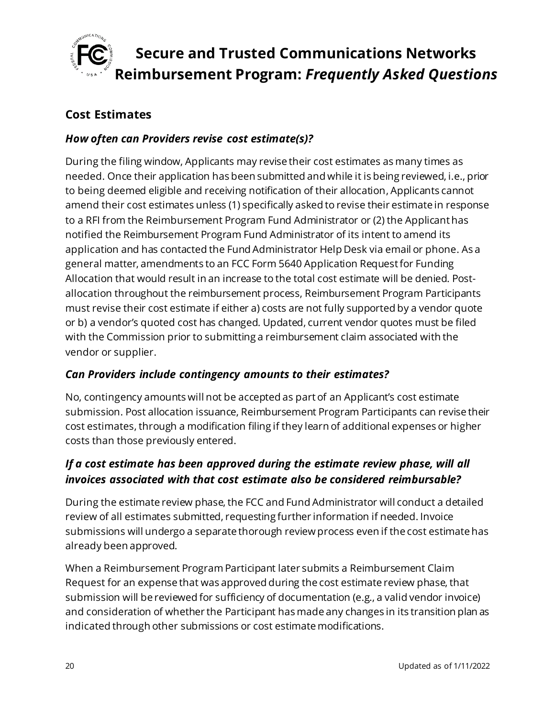

#### <span id="page-19-0"></span>**Cost Estimates**

#### *How often can Providers revise cost estimate(s)?*

During the filing window, Applicants may revise their cost estimates as many times as needed. Once their application has been submitted and while it is being reviewed, i.e., prior to being deemed eligible and receiving notification of their allocation, Applicants cannot amend their cost estimates unless (1) specifically asked to revise their estimate in response to a RFI from the Reimbursement Program Fund Administrator or (2) the Applicant has notified the Reimbursement Program Fund Administrator of its intent to amend its application and has contacted the Fund Administrator Help Desk via email or phone. As a general matter, amendments to an FCC Form 5640 Application Request for Funding Allocation that would result in an increase to the total cost estimate will be denied. Postallocation throughout the reimbursement process, Reimbursement Program Participants must revise their cost estimate if either a) costs are not fully supported by a vendor quote or b) a vendor's quoted cost has changed. Updated, current vendor quotes must be filed with the Commission prior to submitting a reimbursement claim associated with the vendor or supplier.

#### *Can Providers include contingency amounts to their estimates?*

No, contingency amounts will not be accepted as part of an Applicant's cost estimate submission. Post allocation issuance, Reimbursement Program Participants can revise their cost estimates, through a modification filing if they learn of additional expenses or higher costs than those previously entered.

#### *If a cost estimate has been approved during the estimate review phase, will all invoices associated with that cost estimate also be considered reimbursable?*

During the estimate review phase, the FCC and Fund Administrator will conduct a detailed review of all estimates submitted, requesting further information if needed. Invoice submissions will undergo a separate thorough review process even if the cost estimate has already been approved.

When a Reimbursement Program Participant later submits a Reimbursement Claim Request for an expense that was approved during the cost estimate review phase, that submission will be reviewed for sufficiency of documentation (e.g., a valid vendor invoice) and consideration of whether the Participant has made any changes in its transition plan as indicated through other submissions or cost estimate modifications.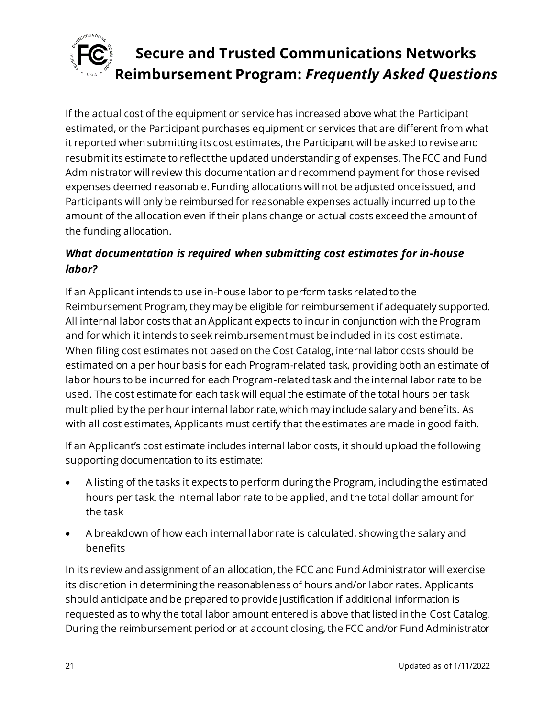

If the actual cost of the equipment or service has increased above what the Participant estimated, or the Participant purchases equipment or services that are different from what it reported when submitting its cost estimates, the Participant will be asked to revise and resubmit its estimate to reflect the updated understanding of expenses. The FCC and Fund Administrator will review this documentation and recommend payment for those revised expenses deemed reasonable. Funding allocations will not be adjusted once issued, and Participants will only be reimbursed for reasonable expenses actually incurred up to the amount of the allocation even if their plans change or actual costs exceed the amount of the funding allocation.

### *What documentation is required when submitting cost estimates for in-house labor?*

If an Applicant intends to use in-house labor to perform tasks related to the Reimbursement Program, they may be eligible for reimbursement if adequately supported. All internal labor costs that an Applicant expects to incur in conjunction with the Program and for which it intends to seek reimbursement must be included in its cost estimate. When filing cost estimates not based on the Cost Catalog, internal labor costs should be estimated on a per hour basis for each Program-related task, providing both an estimate of labor hours to be incurred for each Program-related task and the internal labor rate to be used. The cost estimate for each task will equal the estimate of the total hours per task multiplied by the per hour internal labor rate, which may include salary and benefits. As with all cost estimates, Applicants must certify that the estimates are made in good faith.

If an Applicant's cost estimate includes internal labor costs, it should upload the following supporting documentation to its estimate:

- A listing of the tasks it expects to perform during the Program, including the estimated hours per task, the internal labor rate to be applied, and the total dollar amount for the task
- A breakdown of how each internal labor rate is calculated, showing the salary and benefits

In its review and assignment of an allocation, the FCC and Fund Administrator will exercise its discretion in determining the reasonableness of hours and/or labor rates. Applicants should anticipate and be prepared to provide justification if additional information is requested as to why the total labor amount entered is above that listed in the Cost Catalog. During the reimbursement period or at account closing, the FCC and/or Fund Administrator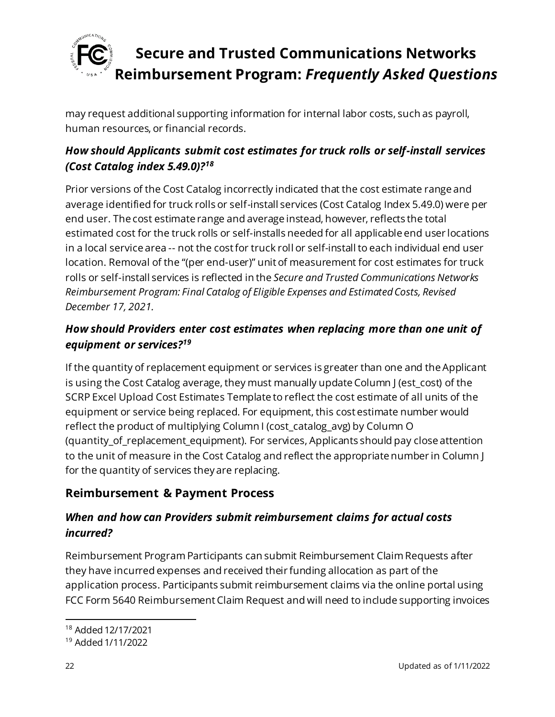

may request additional supporting information for internal labor costs, such as payroll, human resources, or financial records.

### *How should Applicants submit cost estimates for truck rolls or self-install services (Cost Catalog index 5.49.0)?<sup>18</sup>*

Prior versions of the Cost Catalog incorrectly indicated that the cost estimate range and average identified for truck rolls or self-install services (Cost Catalog Index 5.49.0) were per end user. The cost estimate range and average instead, however, reflects the total estimated cost for the truck rolls or self-installs needed for all applicable end user locations in a local service area -- not the cost for truck roll or self-install to each individual end user location. Removal of the "(per end-user)" unit of measurement for cost estimates for truck rolls or self-install services is reflected in the *Secure and Trusted Communications Networks Reimbursement Program: Final Catalog of Eligible Expenses and Estimated Costs, Revised December 17, 2021.*

### *How should Providers enter cost estimates when replacing more than one unit of equipment or services? 19*

If the quantity of replacement equipment or services is greater than one and the Applicant is using the Cost Catalog average, they must manually update Column J (est\_cost) of the SCRP Excel Upload Cost Estimates Template to reflect the cost estimate of all units of the equipment or service being replaced. For equipment, this cost estimate number would reflect the product of multiplying Column I (cost\_catalog\_avg) by Column O (quantity\_of\_replacement\_equipment). For services, Applicants should pay close attention to the unit of measure in the Cost Catalog and reflect the appropriate number in Column J for the quantity of services they are replacing.

### <span id="page-21-0"></span>**Reimbursement & Payment Process**

#### *When and how can Providers submit reimbursement claims for actual costs incurred?*

Reimbursement Program Participants can submit Reimbursement Claim Requests after they have incurred expenses and received their funding allocation as part of the application process. Participants submit reimbursement claims via the online portal using FCC Form 5640 Reimbursement Claim Request and will need to include supporting invoices

<sup>18</sup> Added 12/17/2021

<sup>19</sup> Added 1/11/2022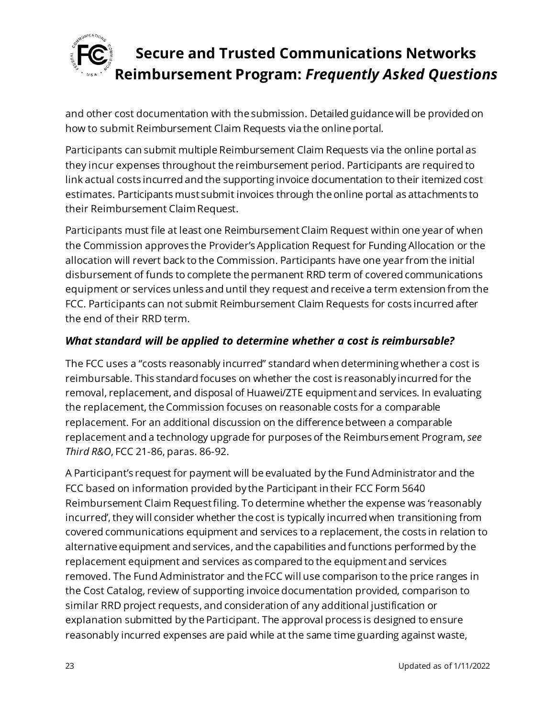

and other cost documentation with the submission. Detailed guidance will be provided on how to submit Reimbursement Claim Requests via the online portal.

Participants can submit multiple Reimbursement Claim Requests via the online portal as they incur expenses throughout the reimbursement period. Participants are required to link actual costs incurred and the supporting invoice documentation to their itemized cost estimates. Participants must submit invoices through the online portal as attachments to their Reimbursement Claim Request.

Participants must file at least one Reimbursement Claim Request within one year of when the Commission approves the Provider's Application Request for Funding Allocation or the allocation will revert back to the Commission. Participants have one year from the initial disbursement of funds to complete the permanent RRD term of covered communications equipment or services unless and until they request and receive a term extension from the FCC. Participants can not submit Reimbursement Claim Requests for costs incurred after the end of their RRD term.

#### *What standard will be applied to determine whether a cost is reimbursable?*

The FCC uses a "costs reasonably incurred" standard when determining whether a cost is reimbursable. This standard focuses on whether the cost is reasonably incurred for the removal, replacement, and disposal of Huawei/ZTE equipment and services. In evaluating the replacement, the Commission focuses on reasonable costs for a comparable replacement. For an additional discussion on the difference between a comparable replacement and a technology upgrade for purposes of the Reimbursement Program, *see Third R&O*, FCC 21-86, paras. 86-92.

A Participant's request for payment will be evaluated by the Fund Administrator and the FCC based on information provided by the Participant in their FCC Form 5640 Reimbursement Claim Request filing. To determine whether the expense was 'reasonably incurred', they will consider whether the cost is typically incurred when transitioning from covered communications equipment and services to a replacement, the costs in relation to alternative equipment and services, and the capabilities and functions performed by the replacement equipment and services as compared to the equipment and services removed. The Fund Administrator and the FCC will use comparison to the price ranges in the Cost Catalog, review of supporting invoice documentation provided, comparison to similar RRD project requests, and consideration of any additional justification or explanation submitted by the Participant. The approval process is designed to ensure reasonably incurred expenses are paid while at the same time guarding against waste,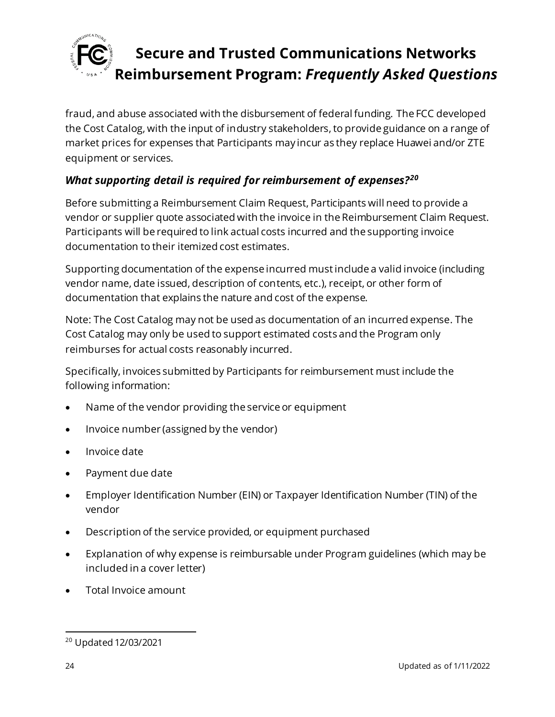

fraud, and abuse associated with the disbursement of federal funding. The FCC developed the Cost Catalog, with the input of industry stakeholders, to provide guidance on a range of market prices for expenses that Participants may incur as they replace Huawei and/or ZTE equipment or services.

### *What supporting detail is required for reimbursement of expenses?<sup>20</sup>*

Before submitting a Reimbursement Claim Request, Participants will need to provide a vendor or supplier quote associated with the invoice in the Reimbursement Claim Request. Participants will be required to link actual costs incurred and the supporting invoice documentation to their itemized cost estimates.

Supporting documentation of the expense incurred mustinclude a valid invoice (including vendor name, date issued, description of contents, etc.), receipt, or other form of documentation that explains the nature and cost of the expense.

Note: The Cost Catalog may not be used as documentation of an incurred expense. The Cost Catalog may only be used to support estimated costs and the Program only reimburses for actual costs reasonably incurred.

Specifically, invoices submitted by Participants for reimbursement must include the following information:

- Name of the vendor providing the service or equipment
- Invoice number (assigned by the vendor)
- Invoice date
- Payment due date
- Employer Identification Number (EIN) or Taxpayer Identification Number (TIN) of the vendor
- Description of the service provided, or equipment purchased
- Explanation of why expense is reimbursable under Program guidelines (which may be included in a cover letter)
- Total Invoice amount

<sup>20</sup> Updated 12/03/2021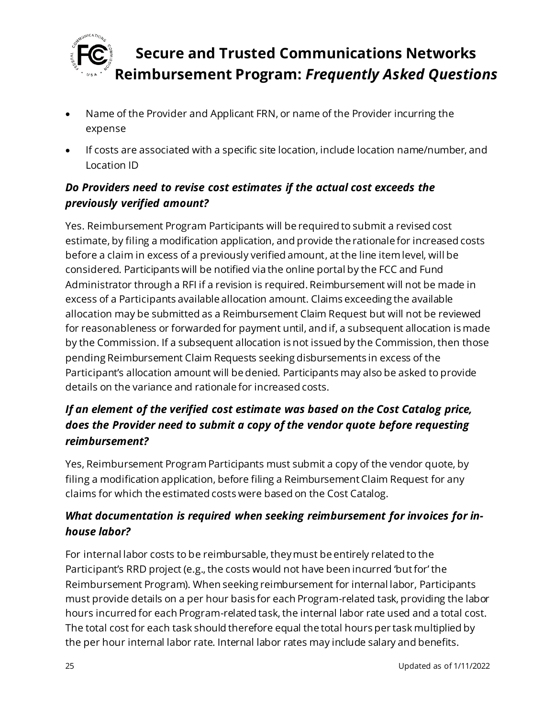

- Name of the Provider and Applicant FRN, or name of the Provider incurring the expense
- If costs are associated with a specific site location, include location name/number, and Location ID

### *Do Providers need to revise cost estimates if the actual cost exceeds the previously verified amount?*

Yes. Reimbursement Program Participants will be required to submit a revised cost estimate, by filing a modification application, and provide the rationale for increased costs before a claim in excess of a previously verified amount, at the line item level, will be considered. Participants will be notified via the online portal by the FCC and Fund Administrator through a RFI if a revision is required. Reimbursement will not be made in excess of a Participants available allocation amount. Claims exceeding the available allocation may be submitted as a Reimbursement Claim Request but will not be reviewed for reasonableness or forwarded for payment until, and if, a subsequent allocation is made by the Commission. If a subsequent allocation is not issued by the Commission, then those pending Reimbursement Claim Requests seeking disbursements in excess of the Participant's allocation amount will be denied. Participants may also be asked to provide details on the variance and rationale for increased costs.

### *If an element of the verified cost estimate was based on the Cost Catalog price, does the Provider need to submit a copy of the vendor quote before requesting reimbursement?*

Yes, Reimbursement Program Participants must submit a copy of the vendor quote, by filing a modification application, before filing a Reimbursement Claim Request for any claims for which the estimated costs were based on the Cost Catalog.

### *What documentation is required when seeking reimbursement for invoices for inhouse labor?*

For internal labor costs to be reimbursable, they must be entirely related to the Participant's RRD project (e.g., the costs would not have been incurred 'but for' the Reimbursement Program). When seeking reimbursement for internal labor, Participants must provide details on a per hour basis for each Program-related task, providing the labor hours incurred for each Program-related task, the internal labor rate used and a total cost. The total cost for each task should therefore equal the total hours per task multiplied by the per hour internal labor rate. Internal labor rates may include salary and benefits.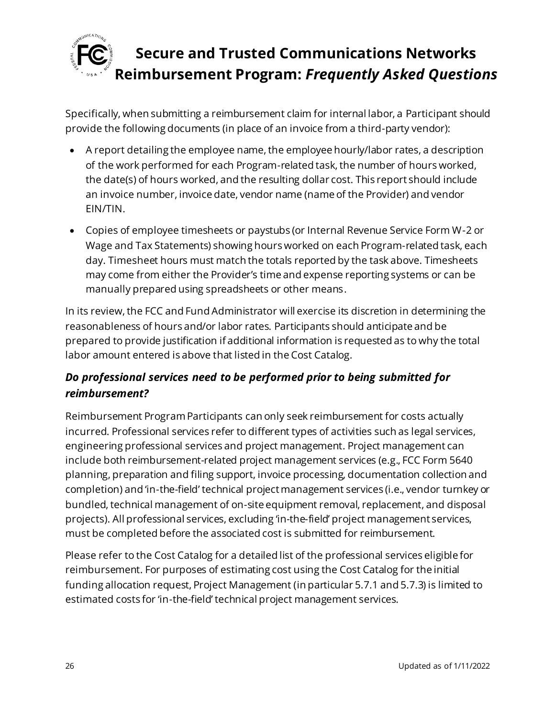

Specifically, when submitting a reimbursement claim for internal labor, a Participant should provide the following documents (in place of an invoice from a third-party vendor):

- A report detailing the employee name, the employee hourly/labor rates, a description of the work performed for each Program-related task, the number of hours worked, the date(s) of hours worked, and the resulting dollar cost. This report should include an invoice number, invoice date, vendor name (name of the Provider) and vendor EIN/TIN.
- Copies of employee timesheets or paystubs (or Internal Revenue Service Form W-2 or Wage and Tax Statements) showing hours worked on each Program-related task, each day. Timesheet hours must match the totals reported by the task above. Timesheets may come from either the Provider's time and expense reporting systems or can be manually prepared using spreadsheets or other means.

In its review, the FCC and Fund Administrator will exercise its discretion in determining the reasonableness of hours and/or labor rates. Participants should anticipate and be prepared to provide justification if additional information is requested as to why the total labor amount entered is above that listed in the Cost Catalog.

### *Do professional services need to be performed prior to being submitted for reimbursement?*

Reimbursement Program Participants can only seek reimbursement for costs actually incurred. Professional services refer to different types of activities such as legal services, engineering professional services and project management. Project management can include both reimbursement-related project management services (e.g., FCC Form 5640 planning, preparation and filing support, invoice processing, documentation collection and completion) and 'in-the-field' technical project management services (i.e., vendor turnkey or bundled, technical management of on-site equipment removal, replacement, and disposal projects). All professional services, excluding 'in-the-field' project management services, must be completed before the associated cost is submitted for reimbursement.

Please refer to the Cost Catalog for a detailed list of the professional services eligible for reimbursement. For purposes of estimating cost using the Cost Catalog for the initial funding allocation request, Project Management (in particular 5.7.1 and 5.7.3) is limited to estimated costs for 'in-the-field' technical project management services.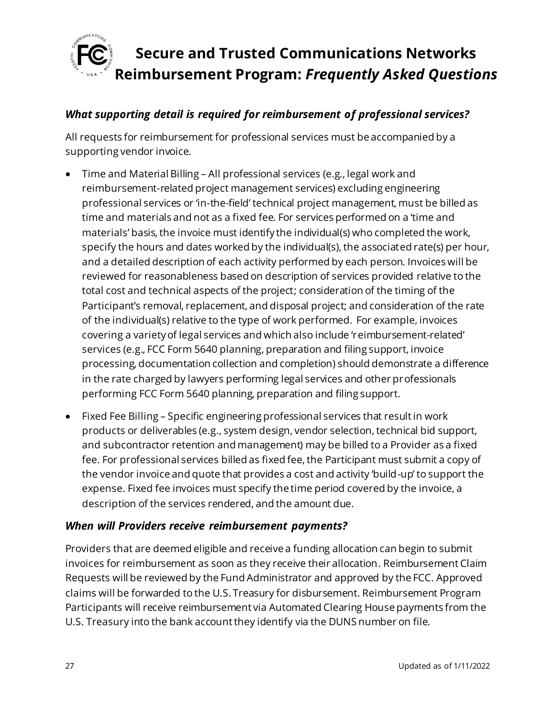

#### *What supporting detail is required for reimbursement of professional services?*

All requests for reimbursement for professional services must be accompanied by a supporting vendor invoice.

- Time and Material Billing All professional services (e.g., legal work and reimbursement-related project management services) excluding engineering professional services or 'in-the-field' technical project management, must be billed as time and materials and not as a fixed fee. For services performed on a 'time and materials' basis, the invoice must identify the individual(s) who completed the work, specify the hours and dates worked by the individual(s), the associated rate(s) per hour, and a detailed description of each activity performed by each person. Invoices will be reviewed for reasonableness based on description of services provided relative to the total cost and technical aspects of the project; consideration of the timing of the Participant's removal, replacement, and disposal project; and consideration of the rate of the individual(s) relative to the type of work performed. For example, invoices covering a variety of legal services and which also include 'reimbursement-related' services (e.g., FCC Form 5640 planning, preparation and filing support, invoice processing, documentation collection and completion) should demonstrate a difference in the rate charged by lawyers performing legal services and other professionals performing FCC Form 5640 planning, preparation and filing support.
- Fixed Fee Billing Specific engineering professional services that result in work products or deliverables (e.g., system design, vendor selection, technical bid support, and subcontractor retention and management) may be billed to a Provider as a fixed fee. For professional services billed as fixed fee, the Participant must submit a copy of the vendor invoice and quote that provides a cost and activity 'build-up' to support the expense. Fixed fee invoices must specify the time period covered by the invoice, a description of the services rendered, and the amount due.

#### *When will Providers receive reimbursement payments?*

Providers that are deemed eligible and receive a funding allocation can begin to submit invoices for reimbursement as soon as they receive their allocation. Reimbursement Claim Requests will be reviewed by the Fund Administrator and approved by the FCC. Approved claims will be forwarded to the U.S. Treasury for disbursement. Reimbursement Program Participants will receive reimbursement via Automated Clearing House payments from the U.S. Treasury into the bank account they identify via the DUNS number on file.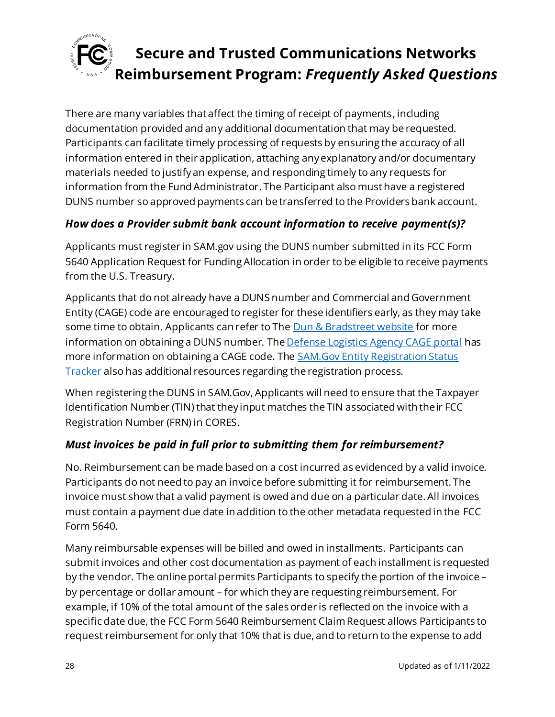

There are many variables that affect the timing of receipt of payments, including documentation provided and any additional documentation that may be requested. Participants can facilitate timely processing of requests by ensuring the accuracy of all information entered in their application, attaching any explanatory and/or documentary materials needed to justify an expense, and responding timely to any requests for information from the Fund Administrator. The Participant also must have a registered DUNS number so approved payments can be transferred to the Providers bank account.

#### *How does a Provider submit bank account information to receive payment(s)?*

Applicants must register in SAM.gov using the DUNS number submitted in its FCC Form 5640 Application Request for Funding Allocation in order to be eligible to receive payments from the U.S. Treasury.

Applicants that do not already have a DUNS number and Commercial and Government Entity (CAGE) code are encouraged to register for these identifiers early, as they may take some time to obtain. Applicants can refer to Th[e Dun & Bradstreet website](https://fedgov.dnb.com/webform/) for more information on obtaining a DUNS number. Th[e Defense Logistics Agency CAGE portal](https://cage.dla.mil/) has more information on obtaining a CAGE code. The **SAM.Gov Entity Registration Status** [Tracker](https://sam.gov/content/status-tracker) also has additional resources regarding the registration process.

When registering the DUNS in SAM.Gov, Applicants will need to ensure that the Taxpayer Identification Number (TIN) that they input matches the TIN associated with their FCC Registration Number (FRN) in CORES.

#### *Must invoices be paid in full prior to submitting them for reimbursement?*

No. Reimbursement can be made based on a cost incurred as evidenced by a valid invoice. Participants do not need to pay an invoice before submitting it for reimbursement. The invoice must show that a valid payment is owed and due on a particular date. All invoices must contain a payment due date in addition to the other metadata requested in the FCC Form 5640.

Many reimbursable expenses will be billed and owed in installments. Participants can submit invoices and other cost documentation as payment of each installment is requested by the vendor. The online portal permits Participants to specify the portion of the invoice – by percentage or dollar amount – for which they are requesting reimbursement. For example, if 10% of the total amount of the sales order is reflected on the invoice with a specific date due, the FCC Form 5640 Reimbursement Claim Request allows Participants to request reimbursement for only that 10% that is due, and to return to the expense to add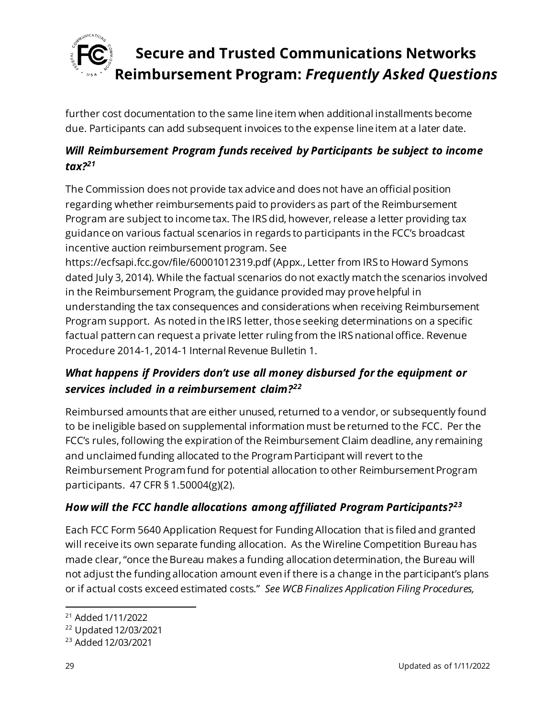

further cost documentation to the same line item when additional installments become due. Participants can add subsequent invoices to the expense line item at a later date.

### *Will Reimbursement Program funds received by Participants be subject to income tax?<sup>21</sup>*

The Commission does not provide tax advice and does not have an official position regarding whether reimbursements paid to providers as part of the Reimbursement Program are subject to income tax. The IRS did, however, release a letter providing tax guidance on various factual scenarios in regards to participants in the FCC's broadcast incentive auction reimbursement program. See

https://ecfsapi.fcc.gov/file/60001012319.pdf (Appx., Letter from IRS to Howard Symons dated July 3, 2014). While the factual scenarios do not exactly match the scenarios involved in the Reimbursement Program, the guidance provided may prove helpful in understanding the tax consequences and considerations when receiving Reimbursement Program support. As noted in the IRS letter, those seeking determinations on a specific factual pattern can request a private letter ruling from the IRS national office. Revenue Procedure 2014-1, 2014-1 Internal Revenue Bulletin 1.

### *What happens if Providers don't use all money disbursed for the equipment or services included in a reimbursement claim?<sup>22</sup>*

Reimbursed amounts that are either unused, returned to a vendor, or subsequently found to be ineligible based on supplemental information must be returned to the FCC. Per the FCC's rules, following the expiration of the Reimbursement Claim deadline, any remaining and unclaimed funding allocated to the Program Participant will revert to the Reimbursement Program fund for potential allocation to other Reimbursement Program participants. 47 CFR § 1.50004(g)(2).

### *How will the FCC handle allocations among affiliated Program Participants?<sup>23</sup>*

Each FCC Form 5640 Application Request for Funding Allocation that is filed and granted will receive its own separate funding allocation. As the Wireline Competition Bureau has made clear, "once the Bureau makes a funding allocation determination, the Bureau will not adjust the funding allocation amount even if there is a change in the participant's plans or if actual costs exceed estimated costs." *See WCB Finalizes Application Filing Procedures,* 

<sup>21</sup> Added 1/11/2022

<sup>22</sup> Updated 12/03/2021

<sup>23</sup> Added 12/03/2021